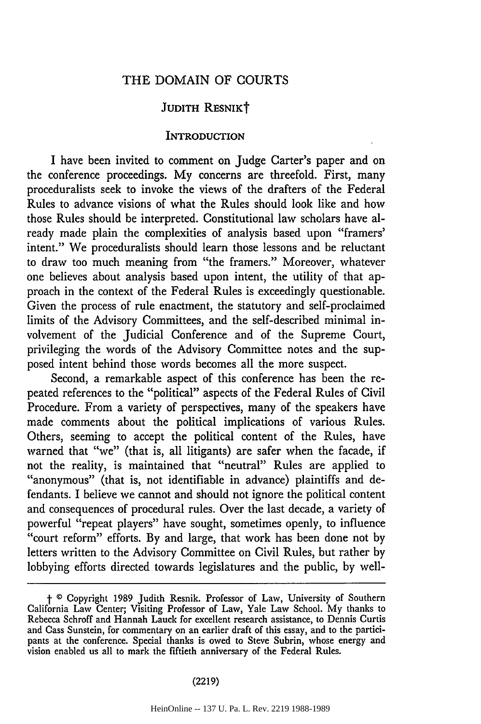## THE DOMAIN OF COURTS

# JUDITH RESNIKT

### **INTRODUCTION**

I have been invited to comment on Judge Carter's paper and on the conference proceedings. My concerns are threefold. First, many proceduralists seek to invoke the views of the drafters of the Federal Rules to advance visions of what the Rules should look like and how those Rules should be interpreted. Constitutional law scholars have already made plain the complexities of analysis based upon "framers' intent." We proceduralists should learn those lessons and be reluctant to draw too much meaning from "the framers." Moreover, whatever one believes about analysis based upon intent, the utility of that approach in the context of the Federal Rules is exceedingly questionable. Given the process of rule enactment, the statutory and self-proclaimed limits of the Advisory Committees, and the self-described minimal involvement of the Judicial Conference and of the Supreme Court, privileging the words of the Advisory Committee notes and the supposed intent behind those words becomes all the more suspect.

Second, a remarkable aspect of this conference has been the repeated references to the "political" aspects of the Federal Rules of Civil Procedure. From a variety of perspectives, many of the speakers have made comments about the political implications of various Rules. Others, seeming to accept the political content of the Rules, have warned that "we" (that is, all litigants) are safer when the facade, if not the reality, is maintained that "neutral" Rules are applied to "anonymous" (that is, not identifiable in advance) plaintiffs and defendants. I believe we cannot and should not ignore the political content and consequences of procedural rules. Over the last decade, a variety of powerful "repeat players" have sought, sometimes openly, to influence "court reform" efforts. By and large, that work has been done not by letters written to the Advisory Committee on Civil Rules, but rather by lobbying efforts directed towards legislatures and the public, by well-

#### (2219)

f **0** Copyright 1989 Judith Resnik. Professor of Law, University of Southern California Law Center; Visiting Professor of Law, Yale Law School. My thanks to Rebecca Schroff and Hannah Lauck for excellent research assistance, to Dennis Curtis and Cass Sunstein, for commentary on an earlier draft of this essay, and to the participants at the conference. Special thanks is owed to Steve Subrin, whose energy and vision enabled us all to mark the fiftieth anniversary of the Federal Rules.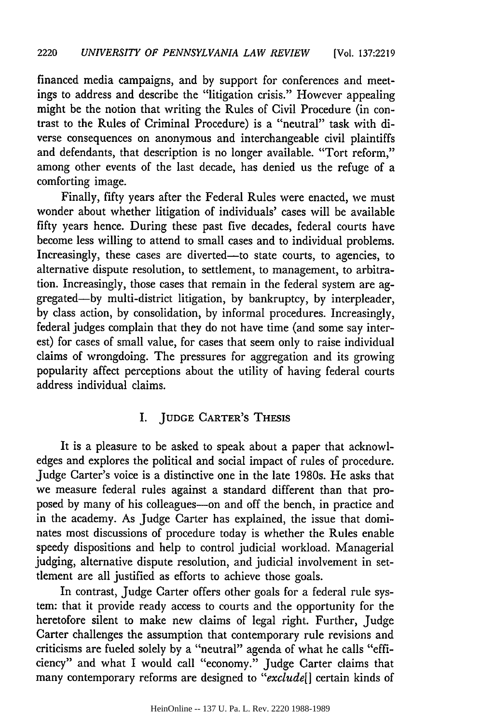financed media campaigns, and by support for conferences and meetings to address and describe the "litigation crisis." However appealing might be the notion that writing the Rules of Civil Procedure (in contrast to the Rules of Criminal Procedure) is a "neutral" task with diverse consequences on anonymous and interchangeable civil plaintiffs and defendants, that description is no longer available. "Tort reform," among other events of the last decade, has denied us the refuge of a comforting image.

Finally, fifty years after the Federal Rules were enacted, we must wonder about whether litigation of individuals' cases will be available fifty years hence. During these past five decades, federal courts have become less willing to attend to small cases and to individual problems. Increasingly, these cases are diverted-to state courts, to agencies, to alternative dispute resolution, to settlement, to management, to arbitration. Increasingly, those cases that remain in the federal system are aggregated-by multi-district litigation, by bankruptcy, by interpleader, by class action, by consolidation, by informal procedures. Increasingly, federal judges complain that they do not have time (and some say interest) for cases of small value, for cases that seem only to raise individual claims of wrongdoing. The pressures for aggregation and its growing popularity affect perceptions about the utility of having federal courts address individual claims.

# I. **JUDGE** CARTER'S THESIS

It is a pleasure to be asked to speak about a paper that acknowledges and explores the political and social impact of rules of procedure. Judge Carter's voice is a distinctive one in the late 1980s. He asks that we measure federal rules against a standard different than that proposed by many of his colleagues-on and off the bench, in practice and in the academy. As Judge Carter has explained, the issue that dominates most discussions of procedure today is whether the Rules enable speedy dispositions and help to control judicial workload. Managerial judging, alternative dispute resolution, and judicial involvement in settlement are all justified as efforts to achieve those goals.

In contrast, Judge Carter offers other goals for a federal rule system: that it provide ready access to courts and the opportunity for the heretofore silent to make new claims of legal right. Further, Judge Carter challenges the assumption that contemporary rule revisions and criticisms are fueled solely by a "neutral" agenda of what he calls "efficiency" and what I would call "economy." Judge Carter claims that many contemporary reforms are designed to *"exclude[]* certain kinds of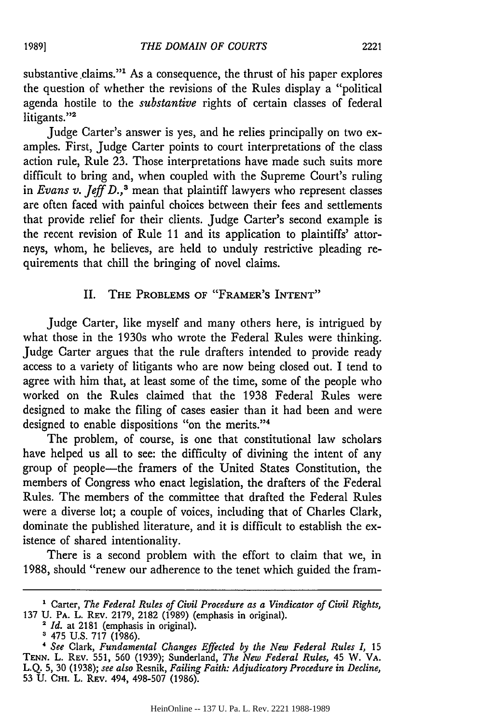substantive claims."<sup>1</sup> As a consequence, the thrust of his paper explores the question of whether the revisions of the Rules display a "political agenda hostile to the *substantive* rights of certain classes of federal litigants."<sup>2</sup>

Judge Carter's answer is yes, and he relies principally on two examples. First, Judge Carter points to court interpretations of the class action rule, Rule 23. Those interpretations have made such suits more difficult to bring and, when coupled with the Supreme Court's ruling in *Evans v. Jeff D.*,<sup>3</sup> mean that plaintiff lawyers who represent classes are often faced with painful choices between their fees and settlements that provide relief for their clients. Judge Carter's second example is the recent revision of Rule 11 and its application to plaintiffs' attorneys, whom, he believes, are held to unduly restrictive pleading requirements that chill the bringing of novel claims.

# II. THE PROBLEMS OF "FRAMER'S INTENT"

Judge Carter, like myself and many others here, is intrigued by what those in the 1930s who wrote the Federal Rules were thinking. Judge Carter argues that the rule drafters intended to provide ready access to a variety of litigants who are now being closed out. I tend to agree with him that, at least some of the time, some of the people who worked on the Rules claimed that the 1938 Federal Rules were designed to make the filing of cases easier than it had been and were designed to enable dispositions "on the merits."4

The problem, of course, is one that constitutional law scholars have helped us all to see: the difficulty of divining the intent of any group of people-the framers of the United States Constitution, the members of Congress who enact legislation, the drafters of the Federal Rules. The members of the committee that drafted the Federal Rules were a diverse lot; a couple of voices, including that of Charles Clark, dominate the published literature, and it is difficult to establish the existence of shared intentionality.

There is a second problem with the effort to claim that we, in 1988, should "renew our adherence to the tenet which guided the fram-

**<sup>1</sup>** Carter, *The Federal Rules of Civil Procedure as a Vindicator of Civil Rights,* **<sup>137</sup>**U. **PA.** L. REV. 2179, 2182 (1989) (emphasis in original). *<sup>2</sup>Id.* at 2181 (emphasis in original).

<sup>&</sup>lt;sup>2</sup> *Id.* at 2181 (emphasis in original).<br><sup>3</sup> 475 U.S. 717 (1986).

*<sup>&</sup>quot; See* Clark, *Fundamental Changes Effected by the New Federal Rules 1,* **15 TENN.** L. REV. 551, 560 (1939); Sunderland, *The New Federal Rules,* 45 W. VA. L.Q. 5, 30 (1938); *see also* Resnik, *Failing Faith: Adjudicatory Procedure in Decline,* 53 U. **CHI.** L. REV. 494, **498-507 (1986).**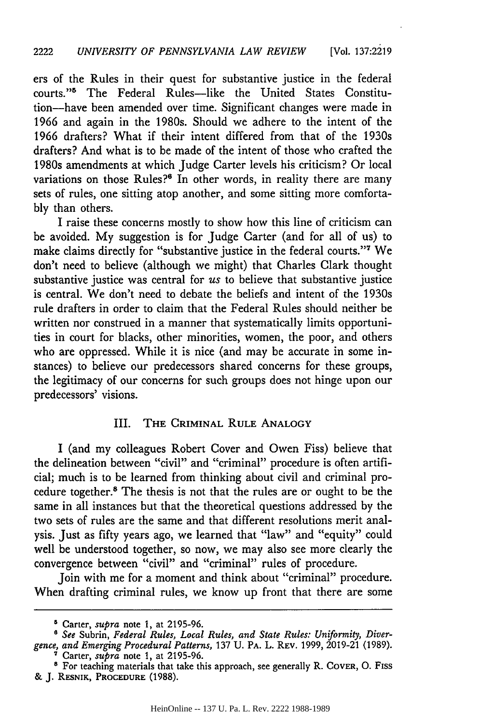ers of the Rules in their quest for substantive justice in the federal courts."5 The Federal Rules-like the United States Constitution-have been amended over time. Significant changes were made in 1966 and again in the 1980s. Should we adhere to the intent of the 1966 drafters? What if their intent differed from that of the 1930s drafters? And what is to be made of the intent of those who crafted the 1980s amendments at which Judge Carter levels his criticism? Or local variations on those Rules?<sup>6</sup> In other words, in reality there are many sets of rules, one sitting atop another, and some sitting more comfortably than others.

I raise these concerns mostly to show how this line of criticism can be avoided. My suggestion is for Judge Carter (and for all of us) to make claims directly for "substantive justice in the federal courts."<sup>7</sup> We don't need to believe (although we might) that Charles Clark thought substantive justice was central for *us* to believe that substantive justice is central. We don't need to debate the beliefs and intent of the 1930s rule drafters in order to claim that the Federal Rules should neither be written nor construed in a manner that systematically limits opportunities in court for blacks, other minorities, women, the poor, and others who are oppressed. While it is nice (and may be accurate in some instances) to believe our predecessors shared concerns for these groups, the legitimacy of our concerns for such groups does not hinge upon our predecessors' visions.

# III. THE CRIMINAL RULE ANALOGY

I (and my colleagues Robert Cover and Owen Fiss) believe that the delineation between "civil" and "criminal" procedure is often artificial; much is to be learned from thinking about civil and criminal procedure together.<sup>8</sup> The thesis is not that the rules are or ought to be the same in all instances but that the theoretical questions addressed by the two sets of rules are the same and that different resolutions merit analysis. Just as fifty years ago, we learned that "law" and "equity" could well be understood together, so now, we may also see more clearly the convergence between "civil" and "criminal" rules of procedure.

Join with me for a moment and think about "criminal" procedure. When drafting criminal rules, we know up front that there are some

<sup>6</sup> Carter, *supra* note **1,** at 2195-96.

**B** *See* Subrin, *Federal Rules, Local Rules, and State Rules: Uniformity, Divergence, and Emerging Procedural Patterns,* 137 U. PA. L. REV. 1999, 2019-21 (1989). **<sup>7</sup>**Carter, *supra* note 1, at 2195-96.

**<sup>&#</sup>x27;** For teaching materials that take this approach, see generally R. COVER, 0. Fiss & **J.** RESNIK, PROCEDURE (1988).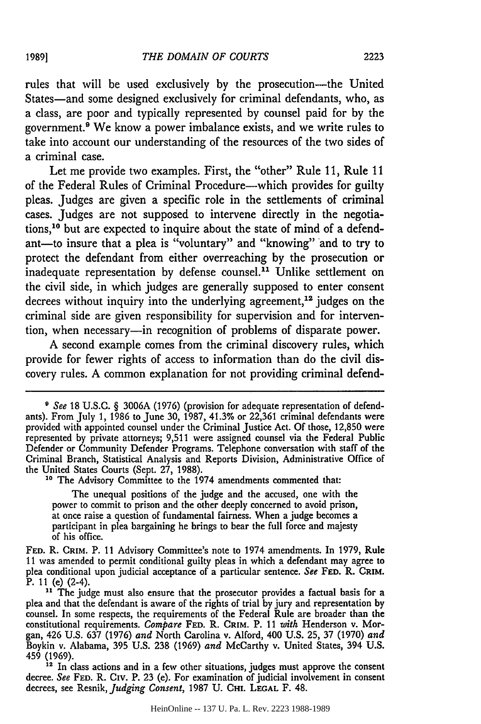rules that will be used exclusively by the prosecution-the United States-and some designed exclusively for criminal defendants, who, as a class, are poor and typically represented by counsel paid for by the government.<sup>9</sup> We know a power imbalance exists, and we write rules to take into account our understanding of the resources of the two sides of a criminal case.

Let me provide two examples. First, the "other" Rule 11, Rule 11 of the Federal Rules of Criminal Procedure—which provides for guilty pleas. Judges are given a specific role in the settlements of criminal cases. Judges are not supposed to intervene directly in the negotiations,10 but are expected to inquire about the state of mind of a defendant-to insure that a plea is "voluntary" and "knowing" and to try to protect the defendant from either overreaching by the prosecution or inadequate representation by defense counsel.<sup>11</sup> Unlike settlement on the civil side, in which judges are generally supposed to enter consent decrees without inquiry into the underlying agreement,<sup>12</sup> judges on the criminal side are given responsibility for supervision and for intervention, when necessary-in recognition of problems of disparate power.

A second example comes from the criminal discovery rules, which provide for fewer rights of access to information than do the civil discovery rules. A common explanation for not providing criminal defend-

**<sup>10</sup>**The Advisory Committee to the 1974 amendments commented that:

The unequal positions of the judge and the accused, one with the power to commit to prison and the other deeply concerned to avoid prison, at once raise a question of fundamental fairness. When a judge becomes a participant in plea bargaining he brings to bear the full force and majesty of his office.

**FED.** R. **CRIM.** P. 11 Advisory Committee's note to 1974 amendments. In 1979, Rule 11 was amended to permit conditional guilty pleas in which a defendant may agree to plea conditional upon judicial acceptance of a particular sentence. *See* **FED.** R. **CRIM.** P. 11 (e) (2-4).

<sup>11</sup> The judge must also ensure that the prosecutor provides a factual basis for a plea and that the defendant is aware of the rights of trial by jury and representation by plea and that the defendant is aware of the rights of trial by jury and representation by counsel. In some respects, the requirements of the Federal Rule are broader than the constitutional requirements. *Compare* **FED.** R. **CRIM.** P. 11 *with* Henderson v. Morgan, 426 U.S. 637 (1976) *and* North Carolina v. Alford, 400 U.S. 25, 37 (1970) *and* Boykin v. Alabama, 395 U.S. 238 (1969) *and* McCarthy v. United States, 394 U.S. 459 (1969)

<sup>12</sup> In class actions and in a few other situations, judges must approve the consen decree. *See* FED. R. CIV. P. 23 (e). For examination of judicial involvement in consen decree. See FED. R. CIV. P. 23 (e). For examination of judicial involvement in consent decrees, see Resnik, *Judging Consent*, 1987 U. CHI. LEGAL F. 48.

*<sup>9</sup> See* 18 U.S.C. § 3006A (1976) (provision for adequate representation of defendants). From July 1, 1986 to June 30, 1987, 41.3% or 22,361 criminal defendants were provided with appointed counsel under the Criminal justice Act. Of those, 12,850 were represented by private attorneys; 9,511 were assigned counsel via the Federal Public Defender or Community Defender Programs. Telephone conversation with staff of the Criminal Branch, Statistical Analysis and Reports Division, Administrative Office of the United States Courts (Sept. 27, 1988).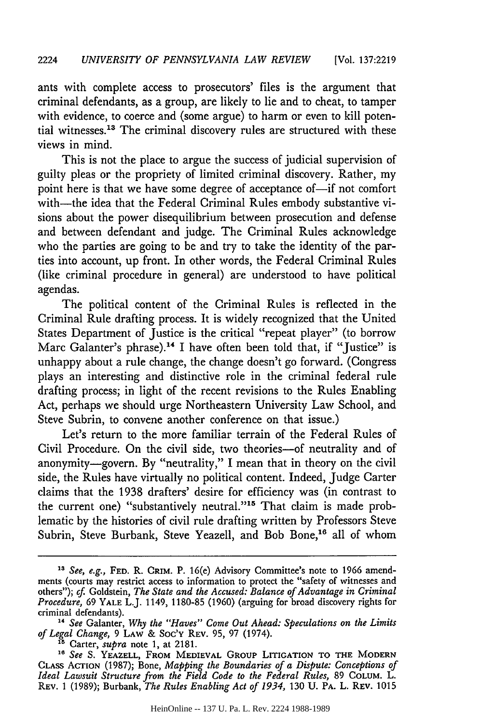ants with complete access to prosecutors' files is the argument that criminal defendants, as a group, are likely to lie and to cheat, to tamper with evidence, to coerce and (some argue) to harm or even to kill potential witnesses.<sup>13</sup> The criminal discovery rules are structured with these views in mind.

This is not the place to argue the success of judicial supervision of guilty pleas or the propriety of limited criminal discovery. Rather, my point here is that we have some degree of acceptance of-if not comfort with-the idea that the Federal Criminal Rules embody substantive visions about the power disequilibrium between prosecution and defense and between defendant and judge. The Criminal Rules acknowledge who the parties are going to be and try to take the identity of the parties into account, up front. In other words, the Federal Criminal Rules (like criminal procedure in general) are understood to have political agendas.

The political content of the Criminal Rules is reflected in the Criminal Rule drafting process. It is widely recognized that the United States Department of Justice is the critical "repeat player" (to borrow Marc Galanter's phrase).<sup>14</sup> I have often been told that, if "Justice" is unhappy about a rule change, the change doesn't go forward. (Congress plays an interesting and distinctive role in the criminal federal rule drafting process; in light of the recent revisions to the Rules Enabling Act, perhaps we should urge Northeastern University Law School, and Steve Subrin, to convene another conference on that issue.)

Let's return to the more familiar terrain of the Federal Rules of Civil Procedure. On the civil side, two theories-of neutrality and of anonymity-govern. By "neutrality," I mean that in theory on the civil side, the Rules have virtually no political content. Indeed, Judge Carter claims that the 1938 drafters' desire for efficiency was (in contrast to the current one) "substantively neutral."<sup>15</sup> That claim is made problematic by the histories of civil rule drafting written by Professors Steve Subrin, Steve Burbank, Steve Yeazell, and Bob Bone,<sup>16</sup> all of whom

**<sup>13</sup>** *See, e.g.,* **FED.** R. **CRIM.** P. 16(e) Advisory Committee's note to 1966 amendments (courts may restrict access to information to protect the "safety of witnesses and others"); cf. Goldstein, *The State and the Accused: Balance of Advantage in Criminal Procedure,* 69 **YALE** L.J. 1149, 1180-85 (1960) (arguing for broad discovery rights for criminal defendants).

*<sup>&</sup>quot; See* Galanter, *Why the "Haves" Come Out Ahead: Speculations on the Limits of Legal Change,* 9 LAW & Soc'y REV. 95, 97 (1974). **<sup>15</sup>**Carter, *supra* note 1, at **2181.**

**<sup>18</sup>***See S.* YEAZELL, FROM MEDIEVAL **GROUP** LITIGATION TO **THE** MODERN CLASS AcTION (1987); Bone, *Mapping the Boundaries of a Dispute: Conceptions of Ideal Lawsuit Structure from the Field Code to the Federal Rules,* **89** CoLUM. L. REV. 1 (1989); Burbank, *The Rules Enabling Act of 1934,* **130** U. **PA.** L. REv. <sup>1015</sup>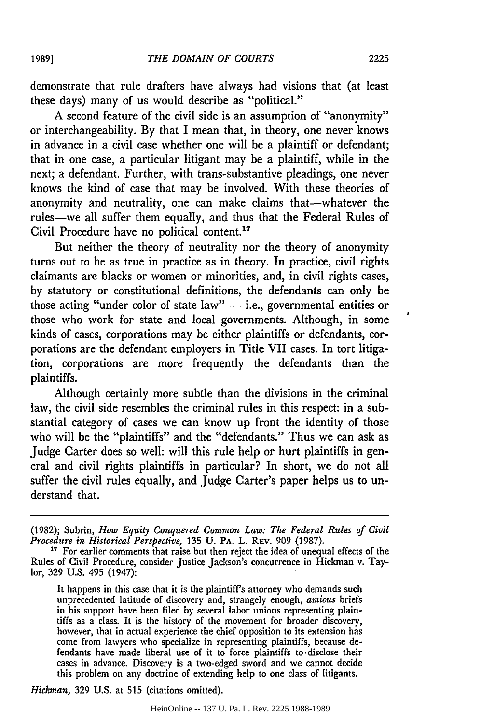demonstrate that rule drafters have always had visions that (at least these days) many of us would describe as "political."

A second feature of the civil side is an assumption of "anonymity" or interchangeability. By that I mean that, in theory, one never knows in advance in a civil case whether one will be a plaintiff or defendant; that in one case, a particular litigant may be a plaintiff, while in the next; a defendant. Further, with trans-substantive pleadings, one never knows the kind of case that may be involved. With these theories of anonymity and neutrality, one can make claims that-whatever the rules-we all suffer them equally, and thus that the Federal Rules of Civil Procedure have no political content.<sup>17</sup>

But neither the theory of neutrality nor the theory of anonymity turns out to be as true in practice as in theory. In practice, civil rights claimants are blacks or women or minorities, and, in civil rights cases, by statutory or constitutional definitions, the defendants can only be those acting "under color of state law"  $-$  i.e., governmental entities or those who work for state and local governments. Although, in some kinds of cases, corporations may be either plaintiffs or defendants, corporations are the defendant employers in Title VII cases. In tort litigation, corporations are more frequently the defendants than the plaintiffs.

Although certainly more subtle than the divisions in the criminal law, the civil side resembles the criminal rules in this respect: in a substantial category of cases we can know up front the identity of those who will be the "plaintiffs" and the "defendants." Thus we can ask as Judge Carter does so well: will this rule help or hurt plaintiffs in general and civil rights plaintiffs in particular? In short, we do not all suffer the civil rules equally, and Judge Carter's paper helps us to understand that.

It happens in this case that it is the plaintiff's attorney who demands such unprecedented latitude of discovery and, strangely enough, *amicus* briefs in his support have been filed by several labor unions representing plaintiffs as a class. It is the history of the movement for broader discovery, however, that in actual experience the chief opposition to its extension has come from lawyers who specialize in representing plaintiffs, because defendants have made liberal use of it to force plaintiffs to-disclose their cases in advance. Discovery is a two-edged sword and we cannot decide this problem on any doctrine of extending help to one class of litigants.

*Hickman,* 329 U.S. at 515 (citations omitted).

<sup>(1982);</sup> Subrin, *How Equity Conquered Common Law: The Federal Rules of Civil Procedure in Historical Perspective,* 135 U. PA. L. REv. 909 (1987). **1"** For earlier comments that raise but then reject the idea of unequal effects of the

Rules of Civil Procedure, consider Justice Jackson's concurrence in Hickman v. Taylor, 329 U.S. 495 (1947):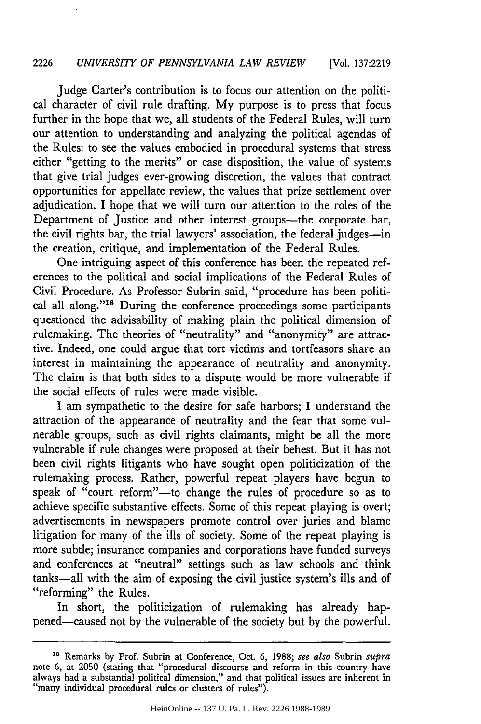#### 2226 *UNIVERSITY OF PENNSYLVANIA LAW REVIEW* [Vol. **137:2219**

Judge Carter's contribution is to focus our attention on the political character of civil rule drafting. My purpose is to press that focus further in the hope that we, all students of the Federal Rules, will turn our attention to understanding and analyzing the political agendas of the Rules: to see the values embodied in procedural systems that stress either "getting to the merits" or case disposition, the value of systems that give trial judges ever-growing discretion, the values that contract opportunities for appellate review, the values that prize settlement over adjudication. I hope that we will turn our attention to the roles of the Department of Justice and other interest groups-the corporate bar, the civil rights bar, the trial lawyers' association, the federal judges-in the creation, critique, and implementation of the Federal Rules.

One intriguing aspect of this conference has been the repeated references to the political and social implications of the Federal Rules of Civil Procedure. As Professor Subrin said, "procedure has been political all along."<sup>18</sup> During the conference proceedings some participants questioned the advisability of making plain the political dimension of rulemaking. The theories of "neutrality" and "anonymity" are attractive. Indeed, one could argue that tort victims and tortfeasors share an interest in maintaining the appearance of neutrality and anonymity. The claim is that both sides to a dispute would be more vulnerable if the social effects of rules were made visible.

I am sympathetic to the desire for safe harbors; I understand the attraction of the appearance of neutrality and the fear that some vulnerable groups, such as civil rights claimants, might be all the more vulnerable if rule changes were proposed at their behest. But it has not been civil rights litigants who have sought open politicization of the rulemaking process. Rather, powerful repeat players have begun to speak of "court reform"-to change the rules of procedure so as to achieve specific substantive effects. Some of this repeat playing is overt; advertisements in newspapers promote control over juries and blame litigation for many of the ills of society. Some of the repeat playing is more subtle; insurance companies and corporations have funded surveys and conferences at "neutral" settings such as law schools and think tanks-all with the aim of exposing the civil justice system's ills and of "reforming" the Rules.

In short, the politicization of rulemaking has already happened-caused not by the vulnerable of the society but by the powerful.

**<sup>18</sup>**Remarks by Prof. Subrin at Conference, Oct. 6, 1988; *see also* Subrin *supra* note 6, at 2050 (stating that "procedural discourse and reform in this country have always had a substantial political dimension," and that political issues are inherent in<br>"many individual procedural rules or clusters of rules").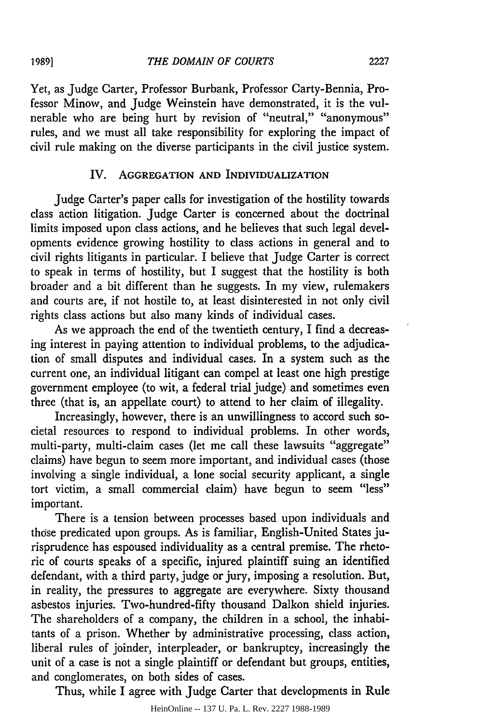Yet, as Judge Carter, Professor Burbank, Professor Carty-Bennia, Professor Minow, and Judge Weinstein have demonstrated, it is the vulnerable who are being hurt by revision of "neutral," "anonymous" rules, and we must all take responsibility for exploring the impact of civil rule making on the diverse participants in the civil justice system.

# IV. AGGREGATION **AND** INDIVIDUALIZATION

Judge Carter's paper calls for investigation of the hostility towards class action litigation. Judge Carter is concerned about the doctrinal limits imposed upon class actions, and he believes that such legal developments evidence growing hostility to class actions in general and to civil rights litigants in particular. I believe that Judge Carter is correct to speak in terms of hostility, but I suggest that the hostility is both broader and a bit different than he suggests. In my view, rulemakers and courts are, if not hostile to, at least disinterested in not only civil rights class actions but also many kinds of individual cases.

As we approach the end of the twentieth century, I find a decreasing interest in paying attention to individual problems, to the adjudication of small disputes and individual cases. In a system such as the current one, an individual litigant can compel at least one high prestige government employee (to wit, a federal trial judge) and sometimes even three (that is, an appellate court) to attend to her claim of illegality.

Increasingly, however, there is an unwillingness to accord such societal resources to respond to individual problems. In other words, multi-party, multi-claim cases (let me call these lawsuits "aggregate" claims) have begun to seem more important, and individual cases (those involving a single individual, a lone social security applicant, a single tort victim, a small commercial claim) have begun to seem "less" important.

There is a tension between processes based upon individuals and those predicated upon groups. As is familiar, English-United States jurisprudence has espoused individuality as a central premise. The rhetoric of courts speaks of a specific, injured plaintiff suing an identified defendant, with a third party, judge or jury, imposing a resolution. But, in reality, the pressures to aggregate are everywhere. Sixty thousand asbestos injuries. Two-hundred-fifty thousand Dalkon shield injuries. The shareholders of a company, the children in a school, the inhabitants of a prison. Whether by administrative processing, class action, liberal rules of joinder, interpleader, or bankruptcy, increasingly the unit of a case is not a single plaintiff or defendant but groups, entities, and conglomerates, on both sides of cases.

Thus, while I agree with Judge Carter that developments in Rule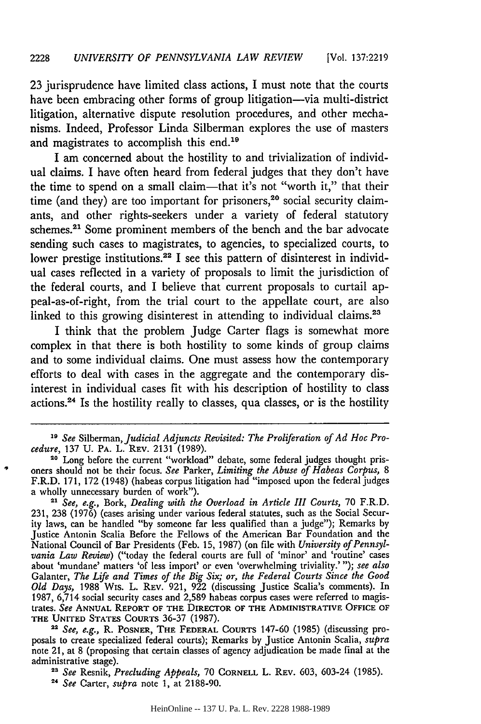23 jurisprudence have limited class actions, I must note that the courts have been embracing other forms of group litigation—via multi-district litigation, alternative dispute resolution procedures, and other mechanisms. Indeed, Professor Linda Silberman explores the use of masters and magistrates to accomplish this end.<sup>19</sup>

I am concerned about the hostility to and trivialization of individual claims. I have often heard from federal judges that they don't have the time to spend on a small claim-that it's not "worth it," that their time (and they) are too important for prisoners,<sup>20</sup> social security claimants, and other rights-seekers under a variety of federal statutory schemes.<sup>21</sup> Some prominent members of the bench and the bar advocate sending such cases to magistrates, to agencies, to specialized courts, to lower prestige institutions.<sup>22</sup> I see this pattern of disinterest in individual cases reflected in a variety of proposals to limit the jurisdiction of the federal courts, and I believe that current proposals to curtail appeal-as-of-right, from the trial court to the appellate court, are also linked to this growing disinterest in attending to individual claims.<sup>23</sup>

I think that the problem Judge Carter flags is somewhat more complex in that there is both hostility to some kinds of group claims and to some individual claims. One must assess how the contemporary efforts to deal with cases in the aggregate and the contemporary disinterest in individual cases fit with his description of hostility to class actions.24 Is the hostility really to classes, qua classes, or is the hostility

*2 See, e.g.,* R. POSNER, **THE FEDERAL COURTS** 147-60 (1985) (discussing proposals to create specialized federal courts); Remarks by Justice Antonin Scalia, *supra* note 21, at 8 (proposing that certain classes of agency adjudication be made final at the administrative stage). *<sup>2</sup>See* Resnik, *Precluding Appeals,* 70 **CORNELL** L. REV. 603, 603-24 (1985).

*<sup>19</sup> See* Silberman, *Judicial Adjuncts Revisited: The Proliferation of Ad Hoc Procedure,* 137 U. **PA.** L. REV. 2131 (1989).

**<sup>20</sup>** Long before the current "workload" debate, some federal judges thought prisoners should not be their focus. *See* Parker, *Limiting the Abuse of Habeas Corpus, 8* F.R.D. 171, 172 (1948) (habeas corpus litigation had "imposed upon the federal judges a wholly unnecessary burden of work").

*<sup>2</sup> See, e.g.,* Bork, *Dealing with the Overload in Article III Courts,* 70 F.R.D. 231, 238 (1976) (cases arising under various federal statutes, such as the Social Security laws, can be handled "by someone far less qualified than a judge"); Remarks by Justice Antonin Scalia Before the Fellows of the American Bar Foundation and the National Council of Bar Presidents (Feb. 15, 1987) (on file with *University of Pennsylvania Law Review)* ("today the federal courts are full of 'minor' and 'routine' cases about 'mundane' matters 'of less import' or even 'overwhelming triviality.' **");** *see also* Galanter, *The Life and Times of the Big Six; or, the Federal Courts Since the Good Old Days,* 1988 Wis. L. REV. 921, 922 (discussing Justice Scalia's comments). In 1987, 6,714 social security cases and 2,589 habeas corpus cases were referred to magistrates. *See* **ANNUAL** REPORT OF THE DIRECTOR OF THE ADMINISTRATIVE OFFICE OF **THE UNITED STATES** COURTS 36-37 (1987).

*<sup>24</sup>See* Carter, *supra* note 1, at 2188-90.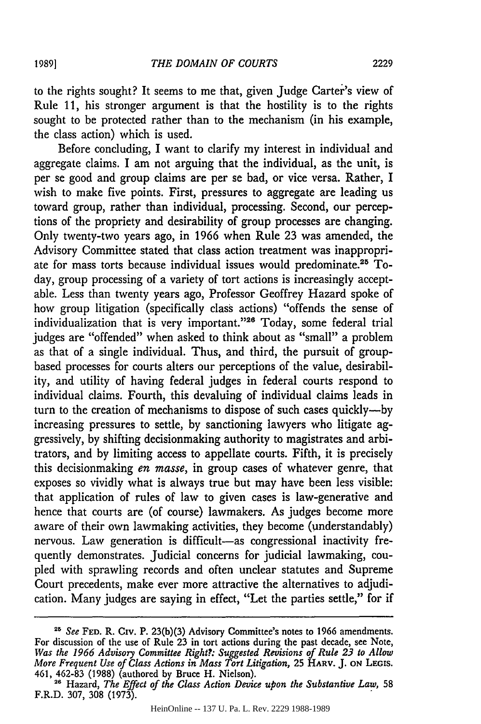to the rights sought? It seems to me that, given Judge Carter's view of Rule 11, his stronger argument is that the hostility is to the rights sought to be protected rather than to the mechanism (in his example, the class action) which is used.

Before concluding, I want to clarify my interest in individual and aggregate claims. I am not arguing that the individual, as the unit, is per se good and group claims are per se bad, or vice versa. Rather, I wish to make five points. First, pressures to aggregate are leading us toward group, rather than individual, processing. Second, our perceptions of the propriety and desirability of group processes are changing. Only twenty-two years ago, in 1966 when Rule 23 was amended, the Advisory Committee stated that class action treatment was inappropriate for mass torts because individual issues would predominate.25 Today, group processing of a variety of tort actions is increasingly acceptable. Less than twenty years ago, Professor Geoffrey Hazard spoke of how group litigation (specifically class actions) "offends the sense of individualization that is very important."26 Today, some federal trial judges are "offended" when asked to think about as "small" a problem as that of a single individual. Thus, and third, the pursuit of groupbased processes for courts alters our perceptions of the value, desirability, and utility of having federal judges in federal courts respond to individual claims. Fourth, this devaluing of individual claims leads in turn to the creation of mechanisms to dispose of such cases quickly--by increasing pressures to settle, by sanctioning lawyers who litigate aggressively, by shifting decisionmaking authority to magistrates and arbitrators, and by limiting access to appellate courts. Fifth, it is precisely this decisionmaking *en masse,* in group cases of whatever genre, that exposes so vividly what is always true but may have been less visible: that application of rules of law to given cases is law-generative and hence that courts are (of course) lawmakers. As judges become more aware of their own lawmaking activities, they become (understandably) nervous. Law generation is difficult-as congressional inactivity frequently demonstrates. Judicial concerns for judicial lawmaking, coupled with sprawling records and often unclear statutes and Supreme Court precedents, make ever more attractive the alternatives to adjudication. Many judges are saying in effect, "Let the parties settle," for if

*<sup>25</sup>See* **FED.** R. Civ. P. 23(b)(3) Advisory Committee's notes to 1966 amendments. For discussion of the use of Rule **23** in tort actions during the past decade, see Note, *Was the 1966 Advisory Committee Right?: Suggested Revisions of Rule 23 to Allow More Frequent Use of Class Actions in Mass Tort Litigation,* 25 HARV. **J. ON LEGIS.** 461, **462-83** (1988) (authored by Bruce H. Nielson).

**<sup>28</sup>**Hazard, *The Effect of the Class Action Device upon the Substantive Law,* **<sup>58</sup>** F.R.D. 307, **308** (1973).